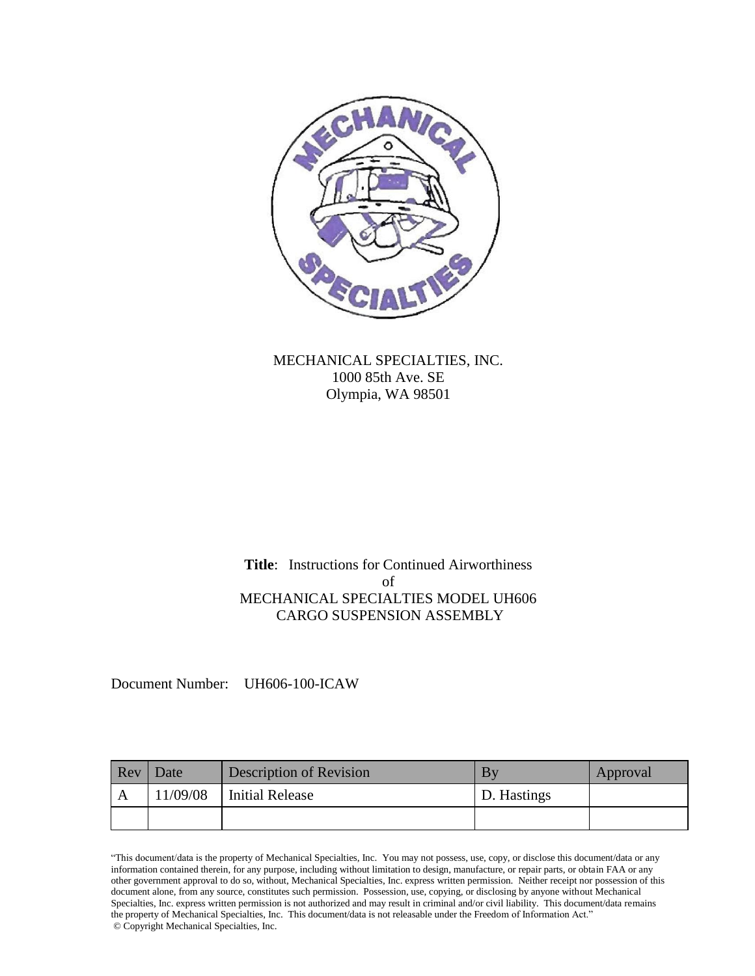

MECHANICAL SPECIALTIES, INC. 1000 85th Ave. SE Olympia, WA 98501

**Title**: Instructions for Continued Airworthiness of MECHANICAL SPECIALTIES MODEL UH606 CARGO SUSPENSION ASSEMBLY

Document Number: UH606-100-ICAW

| Rev | Date     | Description of Revision | By          | Approval |
|-----|----------|-------------------------|-------------|----------|
|     | 11/09/08 | <b>Initial Release</b>  | D. Hastings |          |
|     |          |                         |             |          |

"This document/data is the property of Mechanical Specialties, Inc. You may not possess, use, copy, or disclose this document/data or any information contained therein, for any purpose, including without limitation to design, manufacture, or repair parts, or obtain FAA or any other government approval to do so, without, Mechanical Specialties, Inc. express written permission. Neither receipt nor possession of this document alone, from any source, constitutes such permission. Possession, use, copying, or disclosing by anyone without Mechanical Specialties, Inc. express written permission is not authorized and may result in criminal and/or civil liability. This document/data remains the property of Mechanical Specialties, Inc. This document/data is not releasable under the Freedom of Information Act." © Copyright Mechanical Specialties, Inc.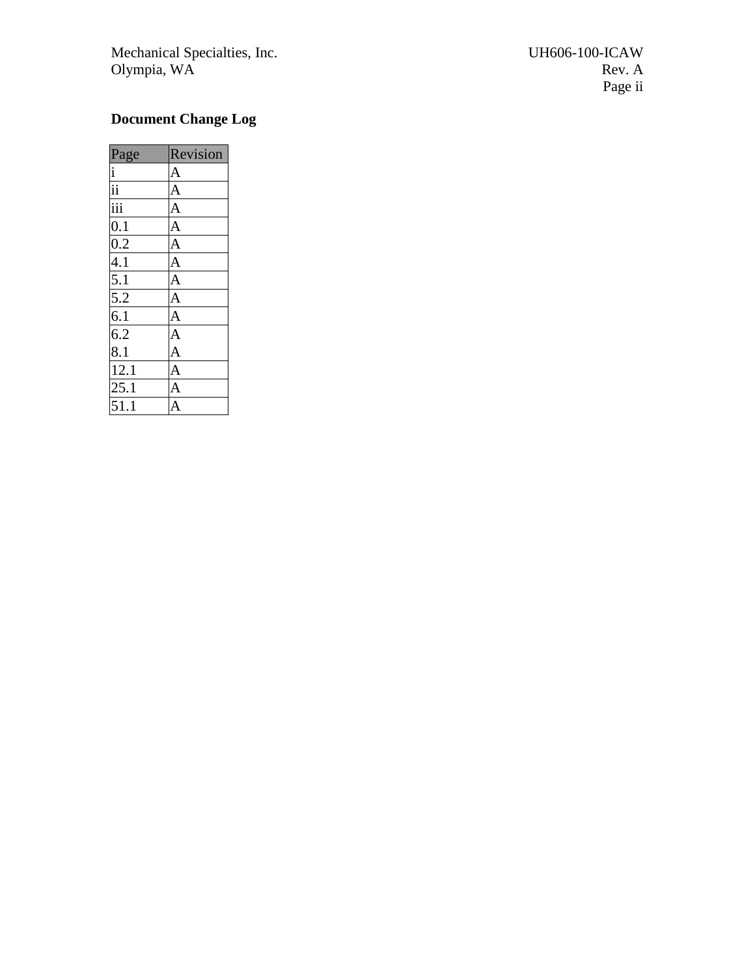Mechanical Specialties, Inc. The UH606 Olympia, WA Rev. A

# <span id="page-1-0"></span>**Document Change Log**

<span id="page-1-1"></span>

| Page                                                                                                                                                                                                                                                                           | Revision       |
|--------------------------------------------------------------------------------------------------------------------------------------------------------------------------------------------------------------------------------------------------------------------------------|----------------|
|                                                                                                                                                                                                                                                                                | $\overline{A}$ |
|                                                                                                                                                                                                                                                                                |                |
|                                                                                                                                                                                                                                                                                | $\overline{A}$ |
|                                                                                                                                                                                                                                                                                | $\overline{A}$ |
|                                                                                                                                                                                                                                                                                | $\overline{A}$ |
|                                                                                                                                                                                                                                                                                | $\frac{A}{A}$  |
|                                                                                                                                                                                                                                                                                |                |
|                                                                                                                                                                                                                                                                                |                |
|                                                                                                                                                                                                                                                                                |                |
|                                                                                                                                                                                                                                                                                |                |
|                                                                                                                                                                                                                                                                                |                |
| $\frac{1}{11}$ $\frac{11}{11}$ $\frac{11}{11}$ $\frac{11}{11}$ $\frac{11}{11}$ $\frac{11}{11}$ $\frac{11}{11}$ $\frac{11}{11}$ $\frac{11}{11}$ $\frac{11}{11}$ $\frac{11}{11}$ $\frac{11}{11}$ $\frac{11}{11}$ $\frac{11}{11}$ $\frac{11}{11}$ $\frac{11}{11}$ $\frac{11}{11}$ |                |
|                                                                                                                                                                                                                                                                                |                |
|                                                                                                                                                                                                                                                                                |                |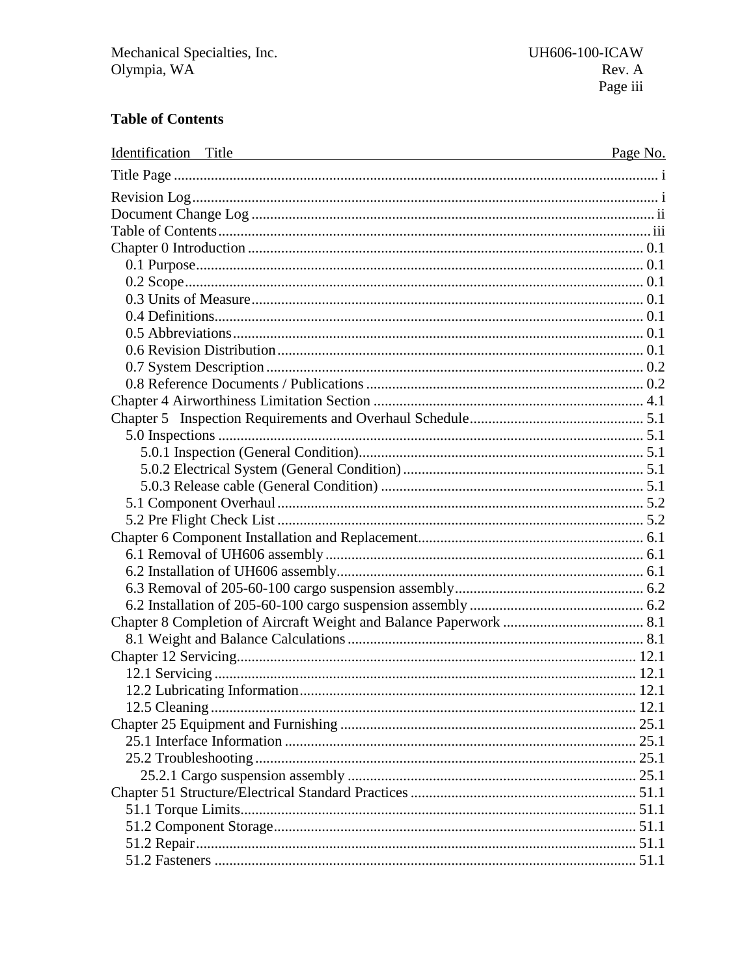# **Table of Contents**

| Identification Title<br><u> 1980 - Andrea Station Barbara, amerikan personal (h. 1980).</u> | Page No. |
|---------------------------------------------------------------------------------------------|----------|
|                                                                                             |          |
|                                                                                             |          |
|                                                                                             |          |
|                                                                                             |          |
|                                                                                             |          |
|                                                                                             |          |
|                                                                                             |          |
|                                                                                             |          |
|                                                                                             |          |
|                                                                                             |          |
|                                                                                             |          |
|                                                                                             |          |
|                                                                                             |          |
|                                                                                             |          |
|                                                                                             |          |
|                                                                                             |          |
|                                                                                             |          |
|                                                                                             |          |
|                                                                                             |          |
|                                                                                             |          |
|                                                                                             |          |
|                                                                                             |          |
|                                                                                             |          |
|                                                                                             |          |
|                                                                                             |          |
|                                                                                             |          |
|                                                                                             |          |
|                                                                                             |          |
|                                                                                             |          |
|                                                                                             |          |
|                                                                                             |          |
|                                                                                             |          |
|                                                                                             |          |
|                                                                                             |          |
|                                                                                             |          |
|                                                                                             |          |
|                                                                                             |          |
|                                                                                             |          |
|                                                                                             |          |
|                                                                                             |          |
|                                                                                             |          |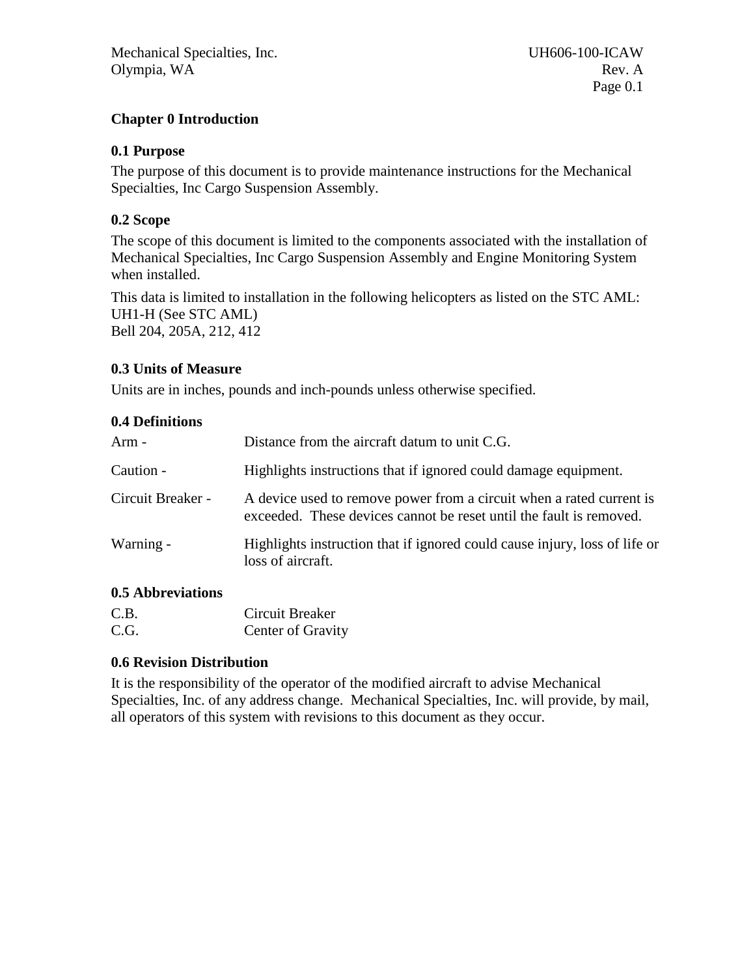# <span id="page-3-0"></span>**Chapter 0 Introduction**

#### <span id="page-3-1"></span>**0.1 Purpose**

The purpose of this document is to provide maintenance instructions for the Mechanical Specialties, Inc Cargo Suspension Assembly.

# <span id="page-3-2"></span>**0.2 Scope**

The scope of this document is limited to the components associated with the installation of Mechanical Specialties, Inc Cargo Suspension Assembly and Engine Monitoring System when installed.

This data is limited to installation in the following helicopters as listed on the STC AML: UH1-H (See STC AML) Bell 204, 205A, 212, 412

# <span id="page-3-3"></span>**0.3 Units of Measure**

<span id="page-3-4"></span>Units are in inches, pounds and inch-pounds unless otherwise specified.

#### **0.4 Definitions**

| Arm -             | Distance from the aircraft datum to unit C.G.                                                                                               |
|-------------------|---------------------------------------------------------------------------------------------------------------------------------------------|
| Caution -         | Highlights instructions that if ignored could damage equipment.                                                                             |
| Circuit Breaker - | A device used to remove power from a circuit when a rated current is<br>exceeded. These devices cannot be reset until the fault is removed. |
| Warning -         | Highlights instruction that if ignored could cause injury, loss of life or<br>loss of aircraft.                                             |

# <span id="page-3-5"></span>**0.5 Abbreviations**

| C.B. | Circuit Breaker   |
|------|-------------------|
| C.G. | Center of Gravity |

#### <span id="page-3-6"></span>**0.6 Revision Distribution**

It is the responsibility of the operator of the modified aircraft to advise Mechanical Specialties, Inc. of any address change. Mechanical Specialties, Inc. will provide, by mail, all operators of this system with revisions to this document as they occur.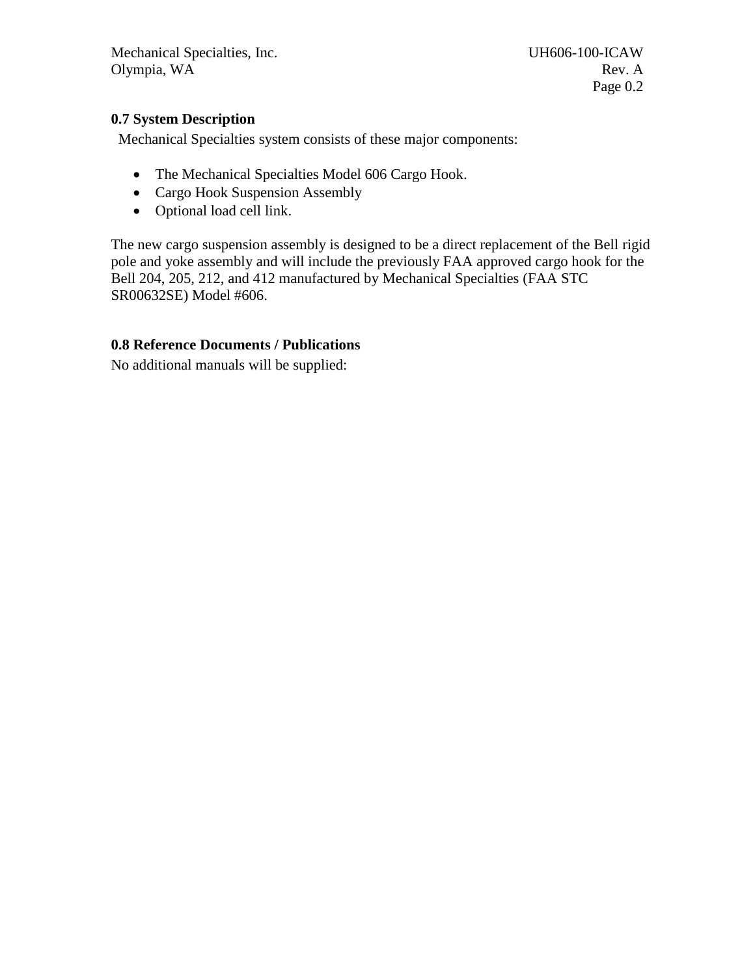# <span id="page-4-0"></span>**0.7 System Description**

Mechanical Specialties system consists of these major components:

- The Mechanical Specialties Model 606 Cargo Hook.
- Cargo Hook Suspension Assembly
- Optional load cell link.

The new cargo suspension assembly is designed to be a direct replacement of the Bell rigid pole and yoke assembly and will include the previously FAA approved cargo hook for the Bell 204, 205, 212, and 412 manufactured by Mechanical Specialties (FAA STC SR00632SE) Model #606.

# <span id="page-4-1"></span>**0.8 Reference Documents / Publications**

No additional manuals will be supplied: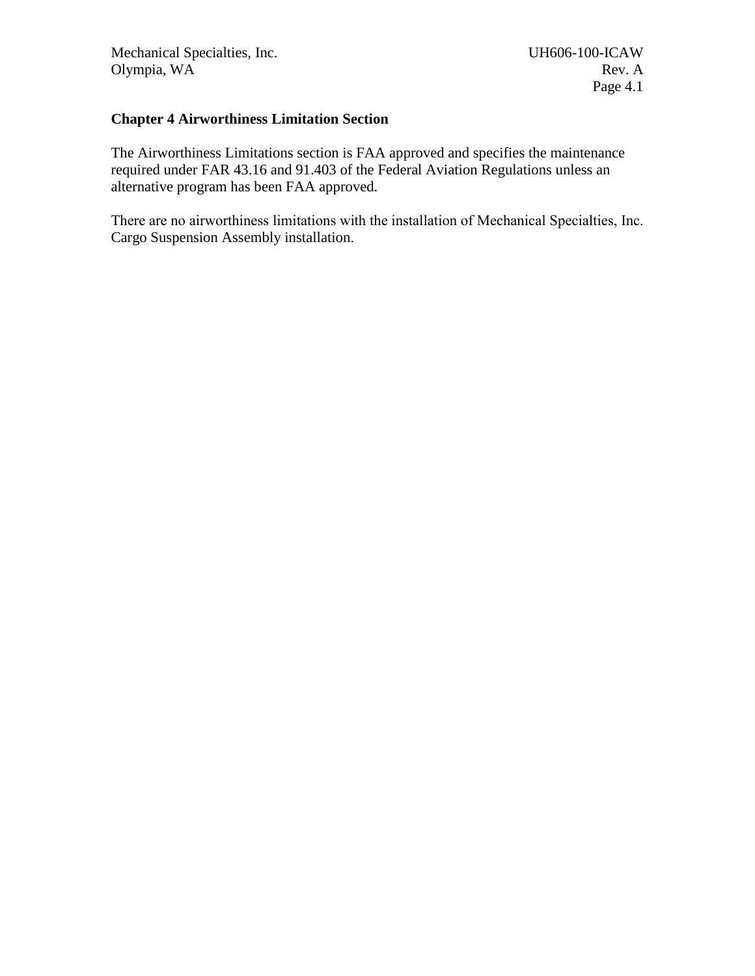#### <span id="page-5-0"></span>**Chapter 4 Airworthiness Limitation Section**

The Airworthiness Limitations section is FAA approved and specifies the maintenance required under FAR 43.16 and 91.403 of the Federal Aviation Regulations unless an alternative program has been FAA approved.

There are no airworthiness limitations with the installation of Mechanical Specialties, Inc. Cargo Suspension Assembly installation.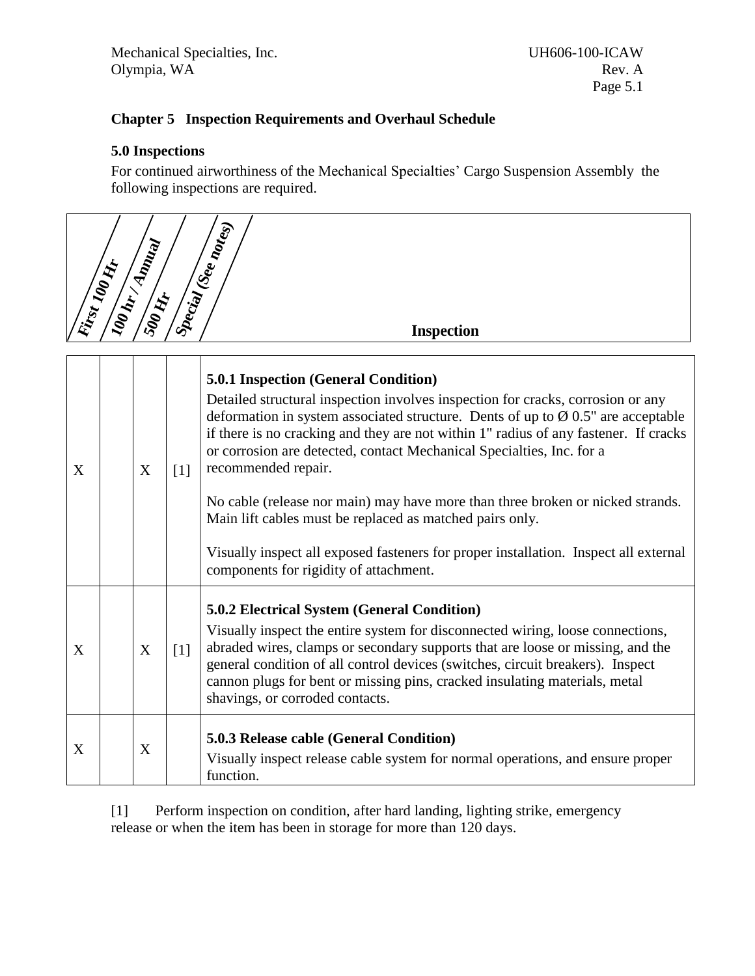# <span id="page-6-0"></span>**Chapter 5 Inspection Requirements and Overhaul Schedule**

#### <span id="page-6-1"></span>**5.0 Inspections**

<span id="page-6-2"></span> $\left\langle \quad \right\rangle$ 

For continued airworthiness of the Mechanical Specialties' Cargo Suspension Assembly the following inspections are required.

|   | Kinst 100 Kir | <b>SOO HI</b> |                   | Special (Seemoles)<br><b>Inspection</b>                                                                                                                                                                                                                                                                                                                                                                                                                                                                                                                                                                                                                                                                |
|---|---------------|---------------|-------------------|--------------------------------------------------------------------------------------------------------------------------------------------------------------------------------------------------------------------------------------------------------------------------------------------------------------------------------------------------------------------------------------------------------------------------------------------------------------------------------------------------------------------------------------------------------------------------------------------------------------------------------------------------------------------------------------------------------|
| X |               | X             | $\lceil 1 \rceil$ | <b>5.0.1 Inspection (General Condition)</b><br>Detailed structural inspection involves inspection for cracks, corrosion or any<br>deformation in system associated structure. Dents of up to $\varnothing$ 0.5" are acceptable<br>if there is no cracking and they are not within 1" radius of any fastener. If cracks<br>or corrosion are detected, contact Mechanical Specialties, Inc. for a<br>recommended repair.<br>No cable (release nor main) may have more than three broken or nicked strands.<br>Main lift cables must be replaced as matched pairs only.<br>Visually inspect all exposed fasteners for proper installation. Inspect all external<br>components for rigidity of attachment. |
| X |               | X             | $\lceil 1 \rceil$ | <b>5.0.2 Electrical System (General Condition)</b><br>Visually inspect the entire system for disconnected wiring, loose connections,<br>abraded wires, clamps or secondary supports that are loose or missing, and the<br>general condition of all control devices (switches, circuit breakers). Inspect<br>cannon plugs for bent or missing pins, cracked insulating materials, metal<br>shavings, or corroded contacts.                                                                                                                                                                                                                                                                              |
| X |               | X             |                   | 5.0.3 Release cable (General Condition)<br>Visually inspect release cable system for normal operations, and ensure proper<br>function.                                                                                                                                                                                                                                                                                                                                                                                                                                                                                                                                                                 |

<span id="page-6-4"></span><span id="page-6-3"></span>[1] Perform inspection on condition, after hard landing, lighting strike, emergency release or when the item has been in storage for more than 120 days.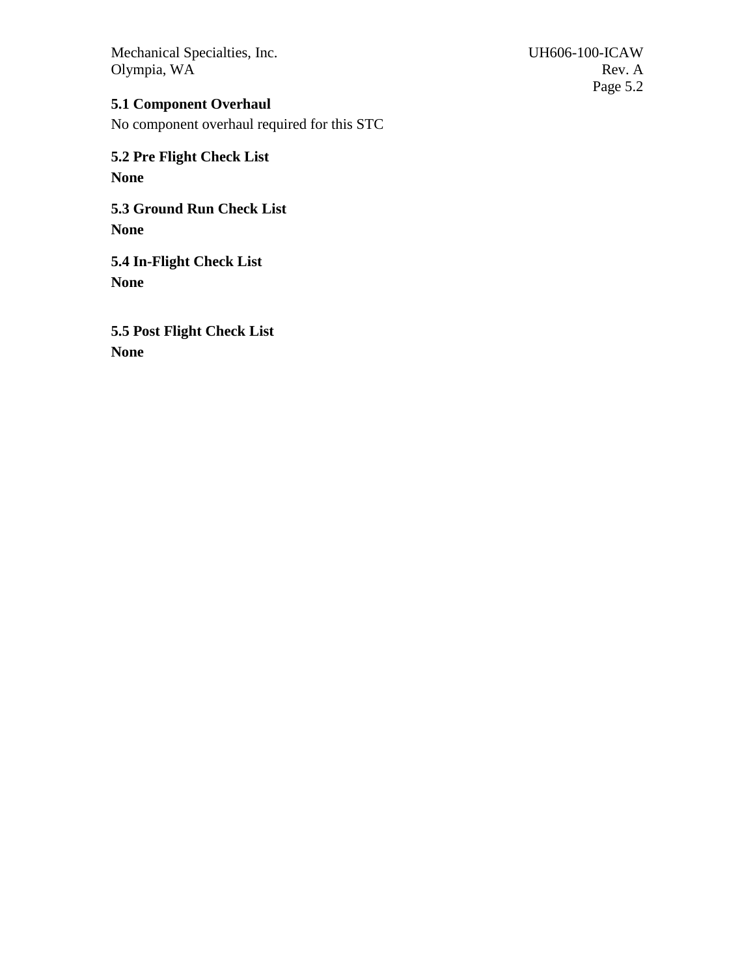Page 5.2

# <span id="page-7-0"></span>**5.1 Component Overhaul**

No component overhaul required for this STC

<span id="page-7-1"></span>**5.2 Pre Flight Check List None**

**5.3 Ground Run Check List None**

**5.4 In-Flight Check List None**

**5.5 Post Flight Check List None**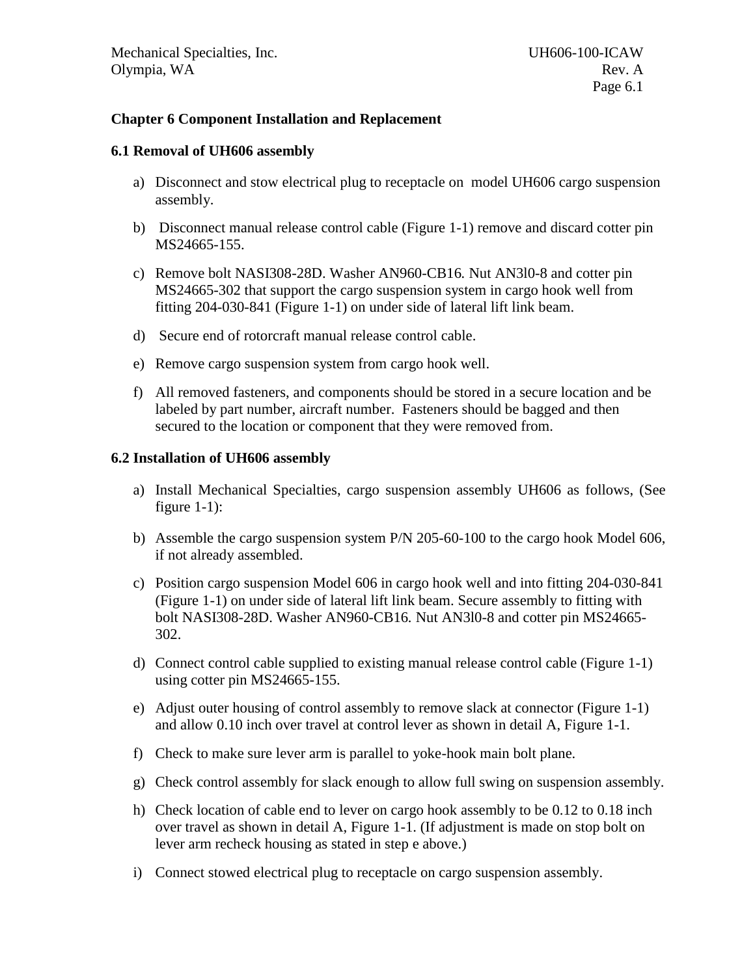#### <span id="page-8-0"></span>**Chapter 6 Component Installation and Replacement**

#### <span id="page-8-1"></span>**6.1 Removal of UH606 assembly**

- a) Disconnect and stow electrical plug to receptacle on model UH606 cargo suspension assembly.
- b) Disconnect manual release control cable (Figure 1-1) remove and discard cotter pin MS24665-155.
- c) Remove bolt NASI308-28D. Washer AN960-CB16*.* Nut AN3l0-8 and cotter pin MS24665-302 that support the cargo suspension system in cargo hook well from fitting 204-030-841 (Figure 1-1) on under side of lateral lift link beam.
- d) Secure end of rotorcraft manual release control cable.
- e) Remove cargo suspension system from cargo hook well.
- f) All removed fasteners, and components should be stored in a secure location and be labeled by part number, aircraft number. Fasteners should be bagged and then secured to the location or component that they were removed from.

#### <span id="page-8-2"></span>**6.2 Installation of UH606 assembly**

- a) Install Mechanical Specialties, cargo suspension assembly UH606 as follows, (See figure  $1-1$ :
- b) Assemble the cargo suspension system P/N 205-60-100 to the cargo hook Model 606, if not already assembled.
- c) Position cargo suspension Model 606 in cargo hook well and into fitting 204-030-841 (Figure 1-1) on under side of lateral lift link beam. Secure assembly to fitting with bolt NASI308-28D. Washer AN960-CB16*.* Nut AN3l0-8 and cotter pin MS24665- 302.
- d) Connect control cable supplied to existing manual release control cable (Figure 1-1) using cotter pin MS24665-155.
- e) Adjust outer housing of control assembly to remove slack at connector (Figure 1-1) and allow 0.10 inch over travel at control lever as shown in detail A, Figure 1-1.
- f) Check to make sure lever arm is parallel to yoke-hook main bolt plane.
- g) Check control assembly for slack enough to allow full swing on suspension assembly.
- h) Check location of cable end to lever on cargo hook assembly to be 0.12 to 0.18 inch over travel as shown in detail A, Figure 1-1. (If adjustment is made on stop bolt on lever arm recheck housing as stated in step e above.)
- i) Connect stowed electrical plug to receptacle on cargo suspension assembly.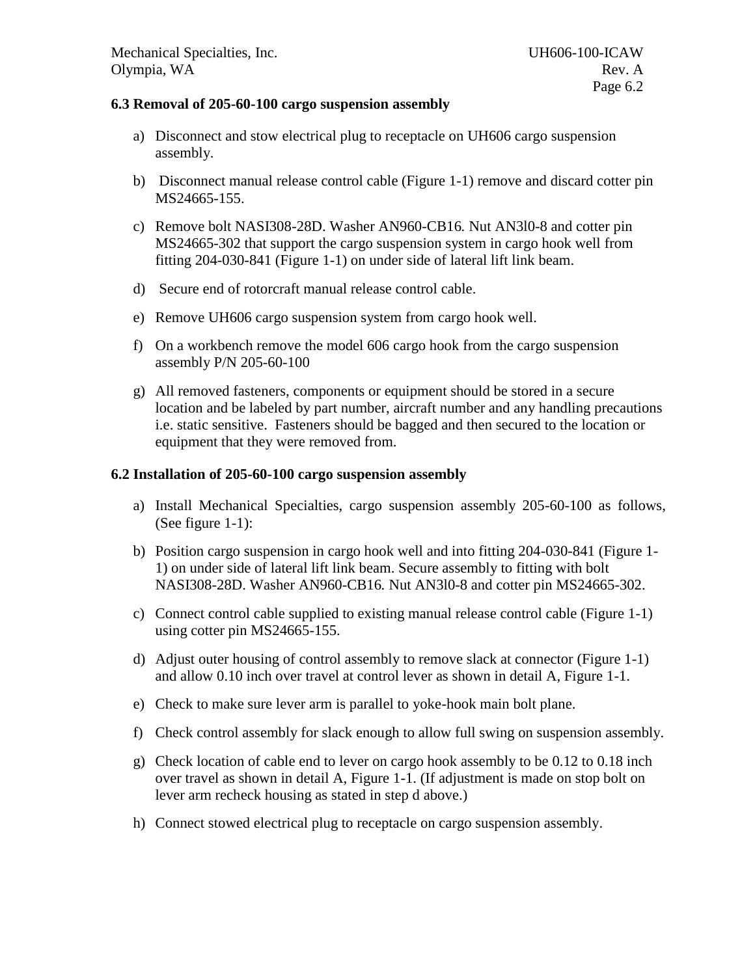#### <span id="page-9-0"></span>**6.3 Removal of 205-60-100 cargo suspension assembly**

- a) Disconnect and stow electrical plug to receptacle on UH606 cargo suspension assembly.
- b) Disconnect manual release control cable (Figure 1-1) remove and discard cotter pin MS24665-155.
- c) Remove bolt NASI308-28D. Washer AN960-CB16*.* Nut AN3l0-8 and cotter pin MS24665-302 that support the cargo suspension system in cargo hook well from fitting 204-030-841 (Figure 1-1) on under side of lateral lift link beam.
- d) Secure end of rotorcraft manual release control cable.
- e) Remove UH606 cargo suspension system from cargo hook well.
- f) On a workbench remove the model 606 cargo hook from the cargo suspension assembly P/N 205-60-100
- g) All removed fasteners, components or equipment should be stored in a secure location and be labeled by part number, aircraft number and any handling precautions i.e. static sensitive. Fasteners should be bagged and then secured to the location or equipment that they were removed from.

#### <span id="page-9-1"></span>**6.2 Installation of 205-60-100 cargo suspension assembly**

- a) Install Mechanical Specialties, cargo suspension assembly 205-60-100 as follows, (See figure 1-1):
- b) Position cargo suspension in cargo hook well and into fitting 204-030-841 (Figure 1- 1) on under side of lateral lift link beam. Secure assembly to fitting with bolt NASI308-28D. Washer AN960-CB16*.* Nut AN3l0-8 and cotter pin MS24665-302.
- c) Connect control cable supplied to existing manual release control cable (Figure 1-1) using cotter pin MS24665-155.
- d) Adjust outer housing of control assembly to remove slack at connector (Figure 1-1) and allow 0.10 inch over travel at control lever as shown in detail A, Figure 1-1.
- e) Check to make sure lever arm is parallel to yoke-hook main bolt plane.
- f) Check control assembly for slack enough to allow full swing on suspension assembly.
- g) Check location of cable end to lever on cargo hook assembly to be 0.12 to 0.18 inch over travel as shown in detail A, Figure 1-1. (If adjustment is made on stop bolt on lever arm recheck housing as stated in step d above.)
- h) Connect stowed electrical plug to receptacle on cargo suspension assembly.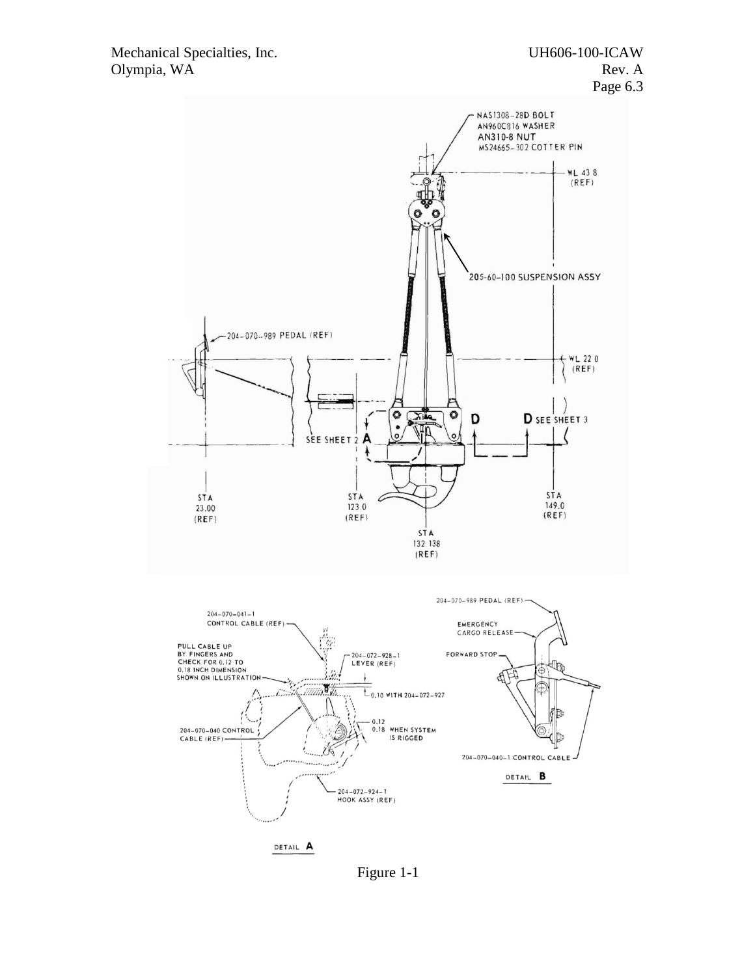

Figure 1-1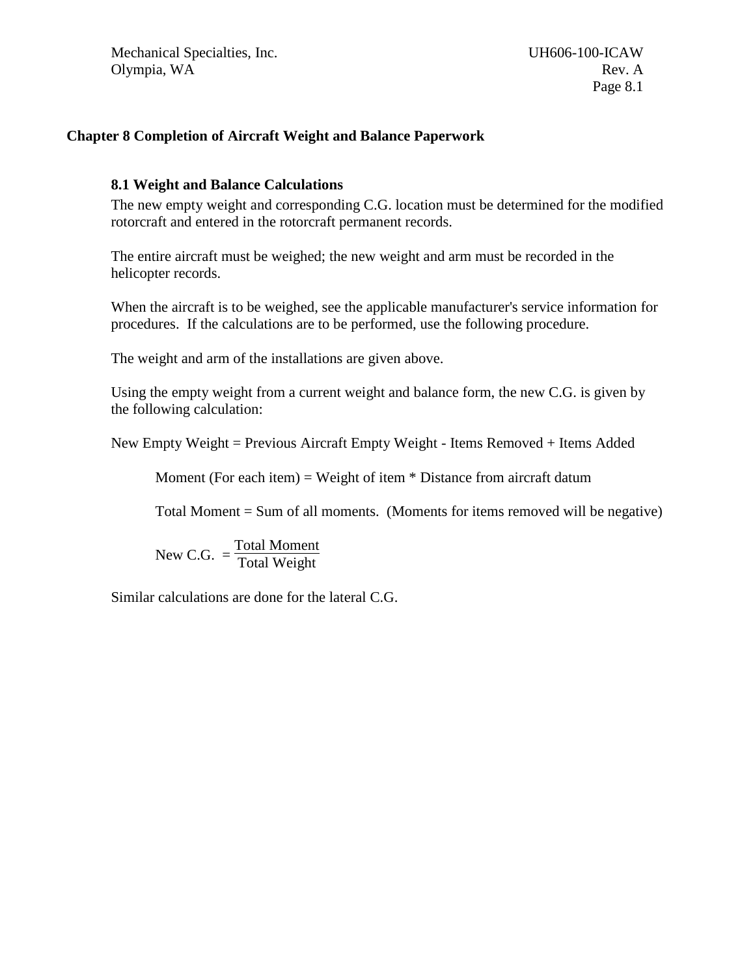#### <span id="page-11-0"></span>**Chapter 8 Completion of Aircraft Weight and Balance Paperwork**

#### <span id="page-11-1"></span>**8.1 Weight and Balance Calculations**

The new empty weight and corresponding C.G. location must be determined for the modified rotorcraft and entered in the rotorcraft permanent records.

The entire aircraft must be weighed; the new weight and arm must be recorded in the helicopter records.

When the aircraft is to be weighed, see the applicable manufacturer's service information for procedures. If the calculations are to be performed, use the following procedure.

The weight and arm of the installations are given above.

Using the empty weight from a current weight and balance form, the new C.G. is given by the following calculation:

New Empty Weight = Previous Aircraft Empty Weight - Items Removed + Items Added

Moment (For each item) = Weight of item  $*$  Distance from aircraft datum

Total Moment = Sum of all moments. (Moments for items removed will be negative)

New C.G.  $=$ Total Moment Total Weight

Similar calculations are done for the lateral C.G.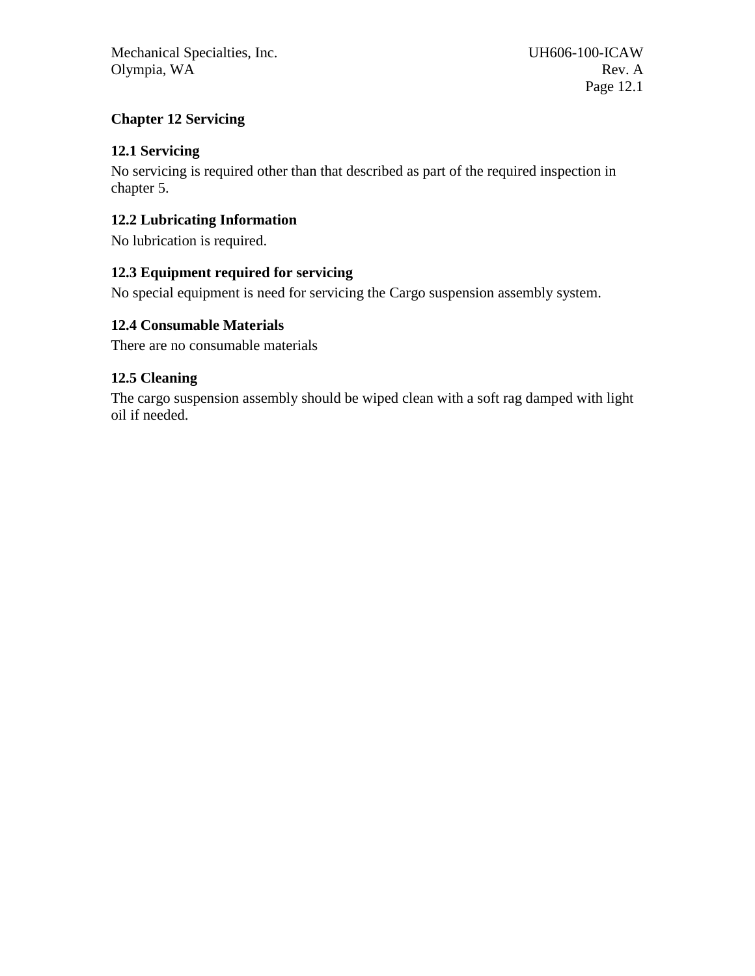# <span id="page-12-0"></span>**Chapter 12 Servicing**

#### <span id="page-12-1"></span>**12.1 Servicing**

No servicing is required other than that described as part of the required inspection in chapter 5.

#### <span id="page-12-2"></span>**12.2 Lubricating Information**

No lubrication is required.

# **12.3 Equipment required for servicing**

No special equipment is need for servicing the Cargo suspension assembly system.

#### **12.4 Consumable Materials**

There are no consumable materials

# <span id="page-12-3"></span>**12.5 Cleaning**

The cargo suspension assembly should be wiped clean with a soft rag damped with light oil if needed.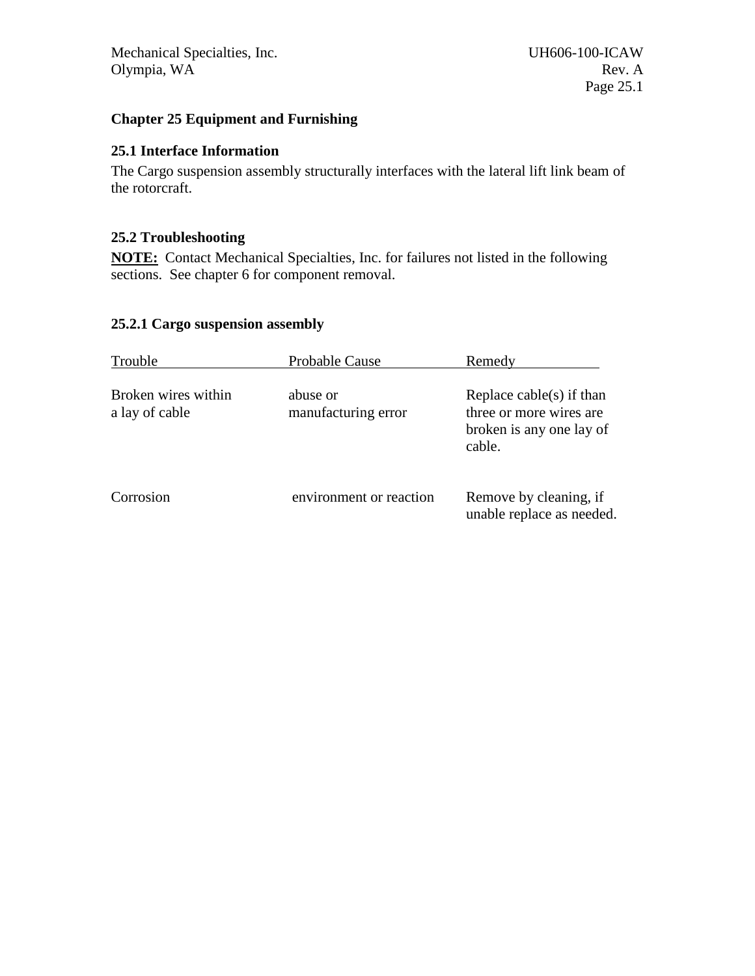# <span id="page-13-0"></span>**Chapter 25 Equipment and Furnishing**

# <span id="page-13-1"></span>**25.1 Interface Information**

The Cargo suspension assembly structurally interfaces with the lateral lift link beam of the rotorcraft.

# <span id="page-13-2"></span>**25.2 Troubleshooting**

**NOTE:** Contact Mechanical Specialties, Inc. for failures not listed in the following sections. See chapter 6 for component removal.

# <span id="page-13-3"></span>**25.2.1 Cargo suspension assembly**

| Trouble                               | Probable Cause                  | Remedy                                                                                    |
|---------------------------------------|---------------------------------|-------------------------------------------------------------------------------------------|
| Broken wires within<br>a lay of cable | abuse or<br>manufacturing error | Replace cable(s) if than<br>three or more wires are<br>broken is any one lay of<br>cable. |
| Corrosion                             | environment or reaction         | Remove by cleaning, if<br>unable replace as needed.                                       |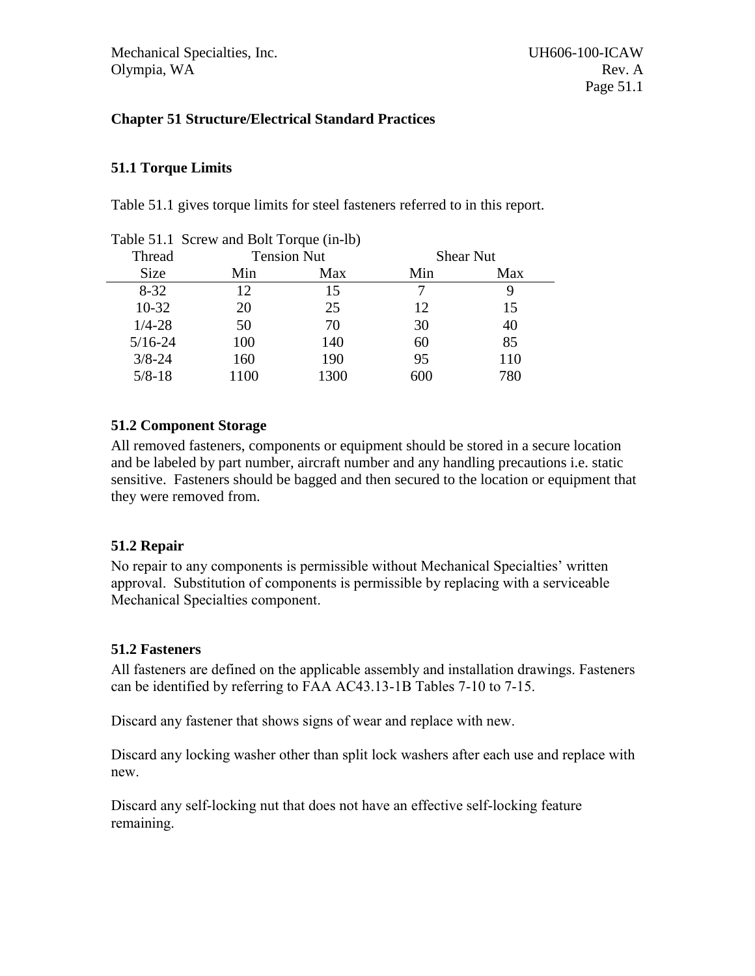# <span id="page-14-0"></span>**Chapter 51 Structure/Electrical Standard Practices**

# <span id="page-14-1"></span>**51.1 Torque Limits**

Table 51.1 gives torque limits for steel fasteners referred to in this report.

| rable $51.1$ below and bond or $\mu$ (in $10$ ) |             |      |                    |     |                  |  |  |  |
|-------------------------------------------------|-------------|------|--------------------|-----|------------------|--|--|--|
|                                                 | Thread      |      | <b>Tension Nut</b> |     | <b>Shear Nut</b> |  |  |  |
|                                                 | <b>Size</b> | Min  | Max                | Min | Max              |  |  |  |
|                                                 | $8 - 32$    | 12   | 15                 |     |                  |  |  |  |
|                                                 | $10-32$     | 20   | 25                 | 12  | 15               |  |  |  |
|                                                 | $1/4 - 28$  | 50   | 70                 | 30  | 40               |  |  |  |
|                                                 | $5/16 - 24$ | 100  | 140                | 60  | 85               |  |  |  |
|                                                 | $3/8 - 24$  | 160  | 190                | 95  | 110              |  |  |  |
|                                                 | $5/8 - 18$  | 1100 | 1300               | 600 | 780              |  |  |  |
|                                                 |             |      |                    |     |                  |  |  |  |

Table 51.1 Screw and Bolt Torque (in-lb)

# <span id="page-14-2"></span>**51.2 Component Storage**

All removed fasteners, components or equipment should be stored in a secure location and be labeled by part number, aircraft number and any handling precautions i.e. static sensitive. Fasteners should be bagged and then secured to the location or equipment that they were removed from.

# <span id="page-14-3"></span>**51.2 Repair**

No repair to any components is permissible without Mechanical Specialties' written approval. Substitution of components is permissible by replacing with a serviceable Mechanical Specialties component.

# <span id="page-14-4"></span>**51.2 Fasteners**

All fasteners are defined on the applicable assembly and installation drawings. Fasteners can be identified by referring to FAA AC43.13-1B Tables 7-10 to 7-15.

Discard any fastener that shows signs of wear and replace with new.

Discard any locking washer other than split lock washers after each use and replace with new.

Discard any self-locking nut that does not have an effective self-locking feature remaining.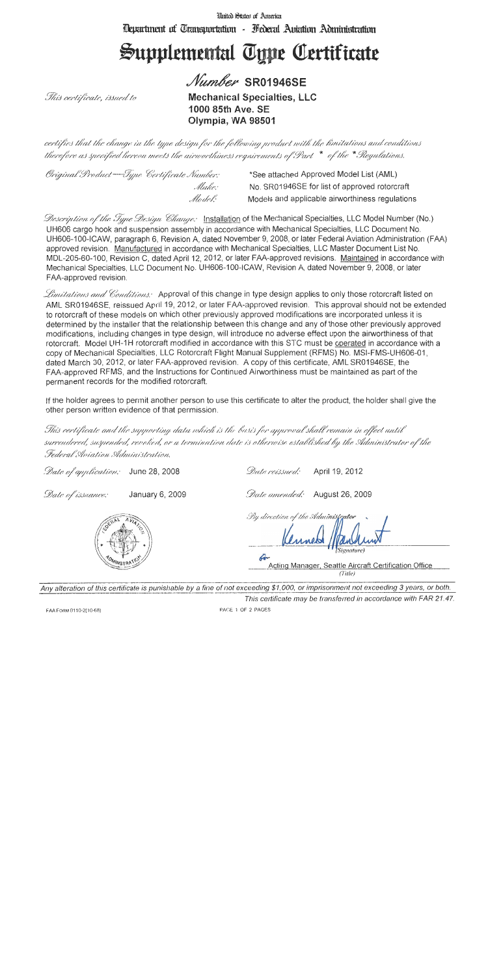United States of America Thepartment of Transportation - Hederal Aniation Administration

# Supplemental Type Certificate

Number SR01946SE

This certificate, issued to

**Mechanical Specialties, LLC** 1000 85th Ave. SE Olympia, WA 98501

certifies that the change in the type design for the following product with the limitations and conditions therefore as specified hereon meets the airworthiness requirements of Part  $*$  of the  $*$  Regulations.

| Original Product – Type Certificate Number: | *See attached Approved Model List (AML)         |
|---------------------------------------------|-------------------------------------------------|
| Make:                                       | No. SR01946SE for list of approved rotorcraft   |
| Model:                                      | Models and applicable airworthiness regulations |

*Description of the Jype Design Change:* Installation of the Mechanical Specialties, LLC Model Number (No.) UH606 cargo hook and suspension assembly in accordance with Mechanical Specialties. LLC Document No. UH606-100-ICAW, paragraph 6, Revision A, dated November 9, 2008, or later Federal Aviation Administration (FAA) approved revision. Manufactured in accordance with Mechanical Specialties, LLC Master Document List No. MDL-205-60-100, Revision C, dated April 12, 2012, or later FAA-approved revisions. Maintained in accordance with Mechanical Specialties, LLC Document No. UH606-100-ICAW, Revision A, dated November 9, 2008, or later FAA-approved revision.

Limitations and Conditions. Approval of this change in type design applies to only those rotorcraft listed on AML SR01946SE, reissued April 19, 2012, or later FAA-approved revision. This approval should not be extended to rotorcraft of these models on which other previously approved modifications are incorporated unless it is determined by the installer that the relationship between this change and any of those other previously approved modifications, including changes in type design, will introduce no adverse effect upon the airworthiness of that rotorcraft. Model UH-1H rotorcraft modified in accordance with this STC must be operated in accordance with a copy of Mechanical Specialties, LLC Rotorcraft Flight Manual Supplement (RFMS) No. MSI-FMS-UH606-01. dated March 30, 2012, or later FAA-approved revision. A copy of this certificate, AML SR01946SE, the FAA-approved RFMS, and the Instructions for Continued Airworthiness must be maintained as part of the permanent records for the modified rotorcraft.

If the holder agrees to permit another person to use this certificate to alter the product, the holder shall give the other person written evidence of that permission.

This certificate and the supporting data which is the basis for approval shall remain in effect until surrendered, suspended, revoked, or a termination date is otherwise established by the Administrator of the Federal Aviation Administration.

Date of application: June 28, 2008

Date reissued: April 19, 2012

Date of issuance: January 6, 2009

Date amended: August 26, 2009

By direction of the Administrator

 $\epsilon$ Acting Manager, Seattle Aircraft Certification Office  $(Title)$ 

Any alteration of this certificate is punishable by a fine of not exceeding \$1,000, or imprisonment not exceeding 3 years, or both. This certificate may be transferred in accordance with FAR 21.47.